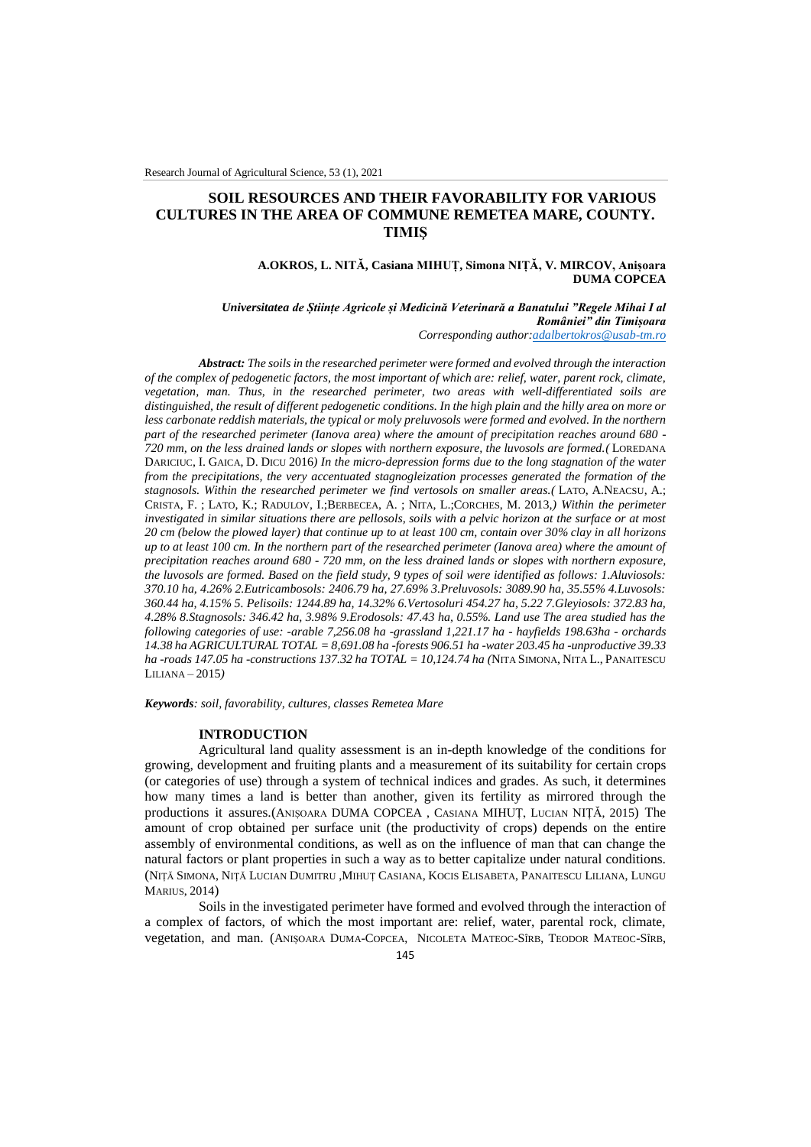## **SOIL RESOURCES AND THEIR FAVORABILITY FOR VARIOUS CULTURES IN THE AREA OF COMMUNE REMETEA MARE, COUNTY. TIMIŞ**

### **A.OKROS, L. NITĂ, Casiana MIHUȚ, Simona NIȚĂ, V. MIRCOV, Anișoara DUMA COPCEA**

# *Universitatea de Științe Agricole și Medicină Veterinară a Banatului "Regele Mihai I al României" din Timișoara*

*Corresponding author[:adalbertokros@usab-tm.ro](mailto:adalbertokros@usab-tm.ro)*

*Abstract: The soils in the researched perimeter were formed and evolved through the interaction of the complex of pedogenetic factors, the most important of which are: relief, water, parent rock, climate, vegetation, man. Thus, in the researched perimeter, two areas with well-differentiated soils are distinguished, the result of different pedogenetic conditions. In the high plain and the hilly area on more or less carbonate reddish materials, the typical or moly preluvosols were formed and evolved. In the northern part of the researched perimeter (Ianova area) where the amount of precipitation reaches around 680 - 720 mm, on the less drained lands or slopes with northern exposure, the luvosols are formed.(* LOREDANA DARICIUC, I. GAICA, D. DICU 2016*) In the micro-depression forms due to the long stagnation of the water from the precipitations, the very accentuated stagnogleization processes generated the formation of the stagnosols. Within the researched perimeter we find vertosols on smaller areas.(* LATO, A.NEACSU, A.; CRISTA, F. ; LATO, K.; RADULOV, I.;BERBECEA, A. ; NITA, L.;CORCHES, M. 2013,*) Within the perimeter investigated in similar situations there are pellosols, soils with a pelvic horizon at the surface or at most 20 cm (below the plowed layer) that continue up to at least 100 cm, contain over 30% clay in all horizons up to at least 100 cm. In the northern part of the researched perimeter (Ianova area) where the amount of precipitation reaches around 680 - 720 mm, on the less drained lands or slopes with northern exposure, the luvosols are formed. Based on the field study, 9 types of soil were identified as follows: 1.Aluviosols: 370.10 ha, 4.26% 2.Eutricambosols: 2406.79 ha, 27.69% 3.Preluvosols: 3089.90 ha, 35.55% 4.Luvosols: 360.44 ha, 4.15% 5. Pelisoils: 1244.89 ha, 14.32% 6.Vertosoluri 454.27 ha, 5.22 7.Gleyiosols: 372.83 ha, 4.28% 8.Stagnosols: 346.42 ha, 3.98% 9.Erodosols: 47.43 ha, 0.55%. Land use The area studied has the following categories of use: -arable 7,256.08 ha -grassland 1,221.17 ha - hayfields 198.63ha - orchards 14.38 ha AGRICULTURAL TOTAL = 8,691.08 ha -forests 906.51 ha -water 203.45 ha -unproductive 39.33 ha -roads 147.05 ha -constructions 137.32 ha TOTAL = 10,124.74 ha (*NITA SIMONA, NITA L., PANAITESCU LILIANA – 2015*)*

*Keywords: soil, favorability, cultures, classes Remetea Mare*

### **INTRODUCTION**

Agricultural land quality assessment is an in-depth knowledge of the conditions for growing, development and fruiting plants and a measurement of its suitability for certain crops (or categories of use) through a system of technical indices and grades. As such, it determines how many times a land is better than another, given its fertility as mirrored through the productions it assures.(ANIȘOARA DUMA COPCEA , CASIANA MIHUȚ, LUCIAN NIȚĂ, 2015) The amount of crop obtained per surface unit (the productivity of crops) depends on the entire assembly of environmental conditions, as well as on the influence of man that can change the natural factors or plant properties in such a way as to better capitalize under natural conditions. (NIȚĂ SIMONA, NIȚĂ LUCIAN DUMITRU ,MIHUȚ CASIANA, KOCIS ELISABETA, PANAITESCU LILIANA, LUNGU MARIUS, 2014)

Soils in the investigated perimeter have formed and evolved through the interaction of a complex of factors, of which the most important are: relief, water, parental rock, climate, vegetation, and man. (ANIȘOARA DUMA-COPCEA, NICOLETA MATEOC-SÎRB, TEODOR MATEOC-SÎRB,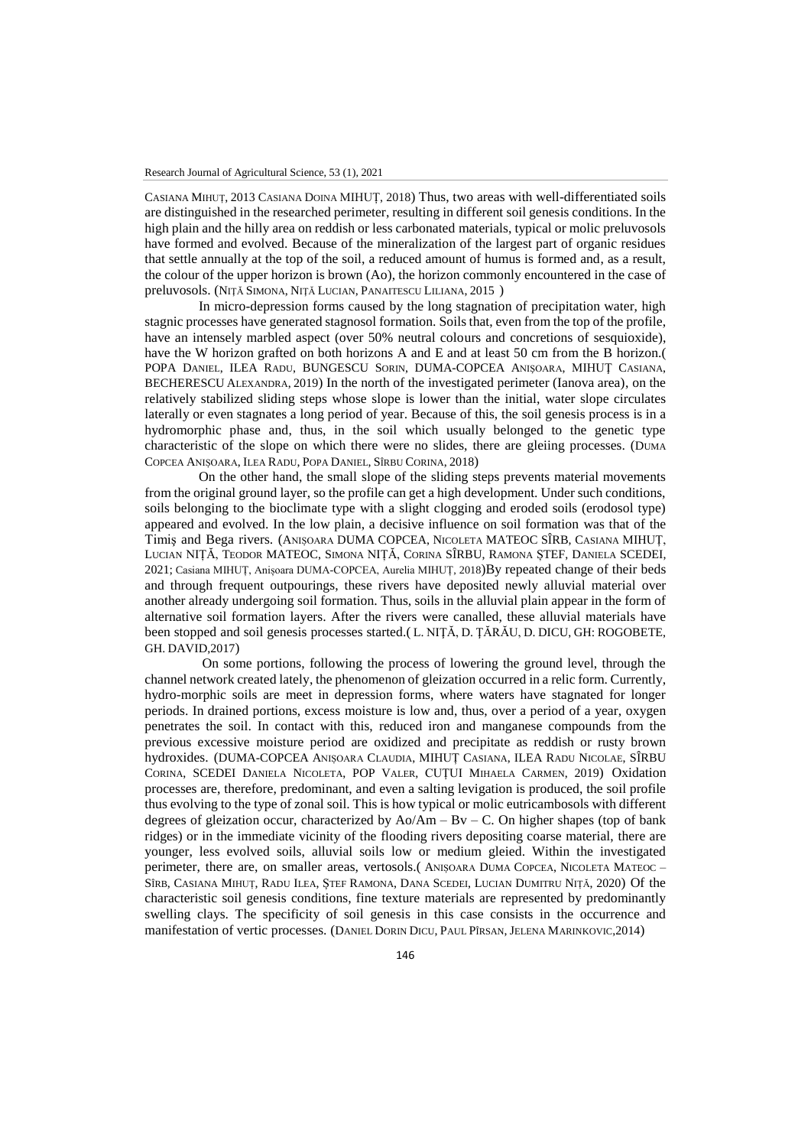CASIANA MIHUȚ, 2013 CASIANA DOINA MIHUȚ, 2018) Thus, two areas with well-differentiated soils are distinguished in the researched perimeter, resulting in different soil genesis conditions. In the high plain and the hilly area on reddish or less carbonated materials, typical or molic preluvosols have formed and evolved. Because of the mineralization of the largest part of organic residues that settle annually at the top of the soil, a reduced amount of humus is formed and, as a result, the colour of the upper horizon is brown (Ao), the horizon commonly encountered in the case of preluvosols. (NIŢĂ SIMONA, NIŢĂ LUCIAN, PANAITESCU LILIANA, 2015 )

In micro-depression forms caused by the long stagnation of precipitation water, high stagnic processes have generated stagnosol formation. Soils that, even from the top of the profile, have an intensely marbled aspect (over 50% neutral colours and concretions of sesquioxide), have the W horizon grafted on both horizons A and E and at least 50 cm from the B horizon. POPA DANIEL, ILEA RADU, BUNGESCU SORIN, DUMA-COPCEA ANIŞOARA, MIHUŢ CASIANA, BECHERESCU ALEXANDRA, 2019) In the north of the investigated perimeter (Ianova area), on the relatively stabilized sliding steps whose slope is lower than the initial, water slope circulates laterally or even stagnates a long period of year. Because of this, the soil genesis process is in a hydromorphic phase and, thus, in the soil which usually belonged to the genetic type characteristic of the slope on which there were no slides, there are gleiing processes. (DUMA COPCEA ANIȘOARA, ILEA RADU, POPA DANIEL, SÎRBU CORINA, 2018)

On the other hand, the small slope of the sliding steps prevents material movements from the original ground layer, so the profile can get a high development. Under such conditions, soils belonging to the bioclimate type with a slight clogging and eroded soils (erodosol type) appeared and evolved. In the low plain, a decisive influence on soil formation was that of the Timiş and Bega rivers. (ANIȘOARA DUMA COPCEA, NICOLETA MATEOC SÎRB, CASIANA MIHUȚ, LUCIAN NIȚĂ, TEODOR MATEOC, SIMONA NIȚĂ, CORINA SÎRBU, RAMONA ȘTEF, DANIELA SCEDEI, 2021; Casiana MIHUȚ, Anișoara DUMA-COPCEA, Aurelia MIHUȚ, 2018)By repeated change of their beds and through frequent outpourings, these rivers have deposited newly alluvial material over another already undergoing soil formation. Thus, soils in the alluvial plain appear in the form of alternative soil formation layers. After the rivers were canalled, these alluvial materials have been stopped and soil genesis processes started.( L. NIŢĂ, D. ŢĂRĂU, D. DICU, GH: ROGOBETE, GH. DAVID,2017)

On some portions, following the process of lowering the ground level, through the channel network created lately, the phenomenon of gleization occurred in a relic form. Currently, hydro-morphic soils are meet in depression forms, where waters have stagnated for longer periods. In drained portions, excess moisture is low and, thus, over a period of a year, oxygen penetrates the soil. In contact with this, reduced iron and manganese compounds from the previous excessive moisture period are oxidized and precipitate as reddish or rusty brown hydroxides. (DUMA-COPCEA ANIȘOARA CLAUDIA, MIHUȚ CASIANA, ILEA RADU NICOLAE, SÎRBU CORINA, SCEDEI DANIELA NICOLETA, POP VALER, CUȚUI MIHAELA CARMEN, 2019) Oxidation processes are, therefore, predominant, and even a salting levigation is produced, the soil profile thus evolving to the type of zonal soil. This is how typical or molic eutricambosols with different degrees of gleization occur, characterized by  $Ao/Am - Bv - C$ . On higher shapes (top of bank ridges) or in the immediate vicinity of the flooding rivers depositing coarse material, there are younger, less evolved soils, alluvial soils low or medium gleied. Within the investigated perimeter, there are, on smaller areas, vertosols.( ANIȘOARA DUMA COPCEA, NICOLETA MATEOC – SÎRB, CASIANA MIHUȚ, RADU ILEA, ȘTEF RAMONA, DANA SCEDEI, LUCIAN DUMITRU NIȚĂ, 2020) Of the characteristic soil genesis conditions, fine texture materials are represented by predominantly swelling clays. The specificity of soil genesis in this case consists in the occurrence and manifestation of vertic processes. (DANIEL DORIN DICU, PAUL PÎRSAN, JELENA MARINKOVIC,2014)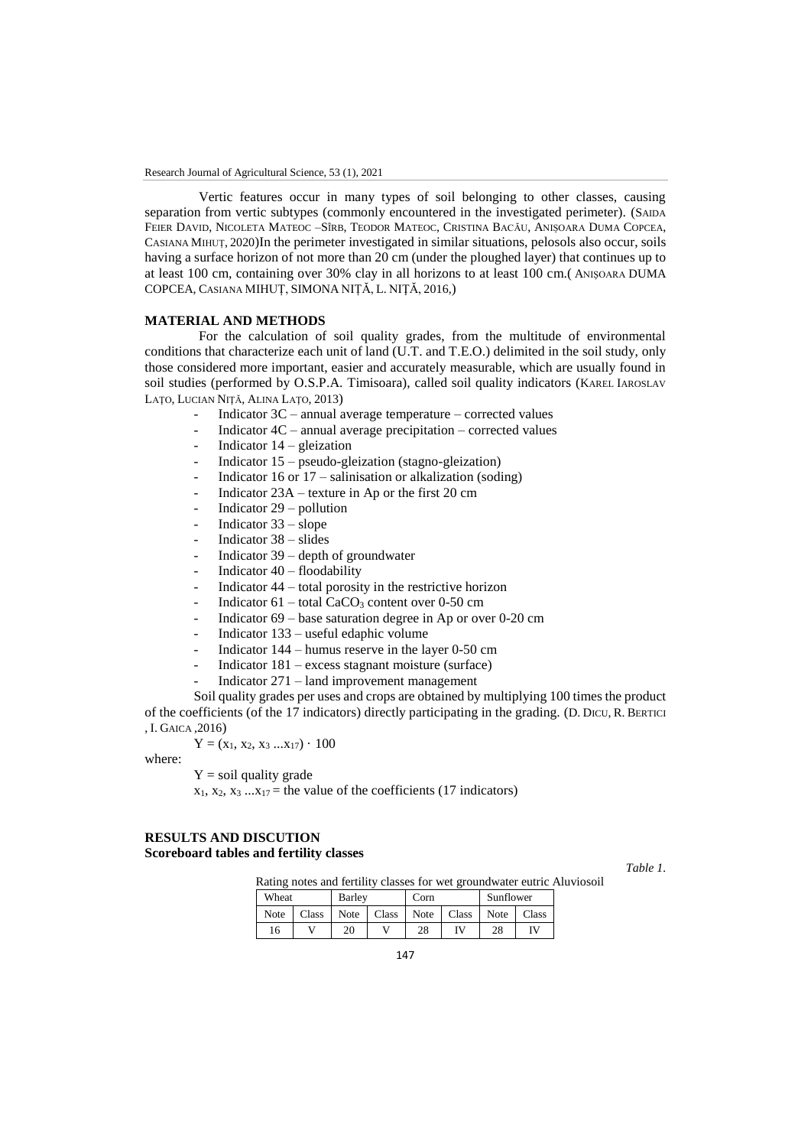Vertic features occur in many types of soil belonging to other classes, causing separation from vertic subtypes (commonly encountered in the investigated perimeter). (SAIDA FEIER DAVID, NICOLETA MATEOC –SÎRB, TEODOR MATEOC, CRISTINA BACĂU, ANIȘOARA DUMA COPCEA, CASIANA MIHUȚ, 2020)In the perimeter investigated in similar situations, pelosols also occur, soils having a surface horizon of not more than 20 cm (under the ploughed layer) that continues up to at least 100 cm, containing over 30% clay in all horizons to at least 100 cm.( ANIŞOARA DUMA COPCEA, CASIANA MIHUȚ, SIMONA NIȚĂ, L. NIŢĂ, 2016,)

### **MATERIAL AND METHODS**

For the calculation of soil quality grades, from the multitude of environmental conditions that characterize each unit of land (U.T. and T.E.O.) delimited in the soil study, only those considered more important, easier and accurately measurable, which are usually found in soil studies (performed by O.S.P.A. Timisoara), called soil quality indicators (KAREL IAROSLAV LAŢO, LUCIAN NIŢĂ, ALINA LAŢO, 2013)

- Indicator  $3C$  annual average temperature corrected values
- Indicator  $4C$  annual average precipitation corrected values
- Indicator  $14$  gleization
- Indicator  $15$  pseudo-gleization (stagno-gleization)
- Indicator 16 or  $17$  salinisation or alkalization (soding)
- Indicator  $23A$  texture in Ap or the first 20 cm
- Indicator  $29$  pollution
- Indicator  $33 slope$
- Indicator  $38 -$  slides
- Indicator  $39$  depth of groundwater
- Indicator  $40 -$  floodability
- Indicator  $44$  total porosity in the restrictive horizon
- Indicator  $61 -$  total CaCO<sub>3</sub> content over 0-50 cm
- Indicator  $69 base$  saturation degree in Ap or over 0-20 cm
- Indicator 133 useful edaphic volume
- Indicator  $144$  humus reserve in the layer 0-50 cm
- $Indication 181 excess stagnant moisture (surface)$
- Indicator  $271 -$ land improvement management

Soil quality grades per uses and crops are obtained by multiplying 100 times the product of the coefficients (of the 17 indicators) directly participating in the grading. (D. DICU, R. BERTICI , I. GAICA ,2016)

$$
Y = (x_1, x_2, x_3 ... x_{17}) \cdot 100
$$

where:

 $Y =$ soil quality grade

 $x_1, x_2, x_3 \ldots x_{17}$  = the value of the coefficients (17 indicators)

### **RESULTS AND DISCUTION Scoreboard tables and fertility classes**

*Table 1.*

Rating notes and fertility classes for wet groundwater eutric Aluviosoil

| Wheat |       | Barley |       | Corn |       | Sunflower |       |
|-------|-------|--------|-------|------|-------|-----------|-------|
| Note  | Class | Note   | Class | Note | Class | Note      | Class |
| 16    |       | 20     |       | 28   | IV    | 28        | ΓV    |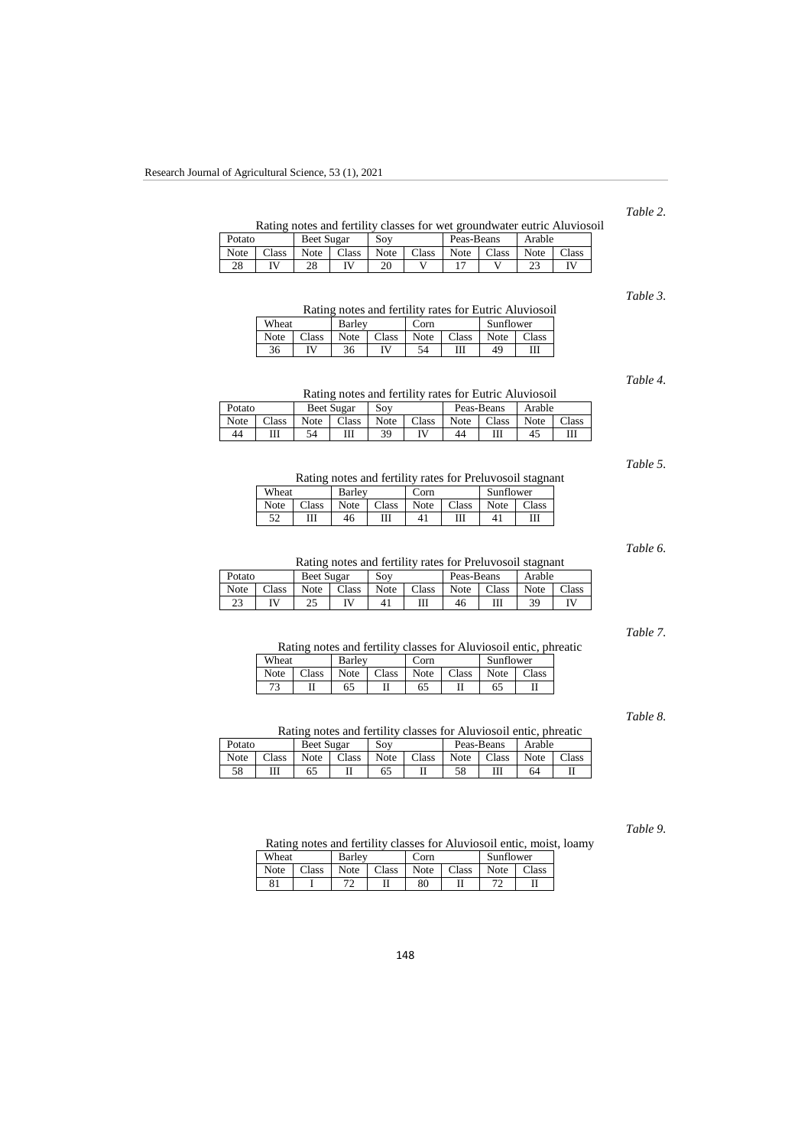## *Table 2.*

Rating notes and fertility classes for wet groundwater eutric Aluviosoil

| Potato   |       | <b>Beet Sugar</b> |       | Sov  |       | Peas-Beans |       | Arable |       |
|----------|-------|-------------------|-------|------|-------|------------|-------|--------|-------|
| Note     | Class | Note              | Class | Note | Class | Note       | Class | Note   | Class |
| o۵<br>20 |       | 28                |       | 20   |       |            |       | ر ے    |       |

*Table 3.*

Rating notes and fertility rates for Eutric Aluviosoil

| Wheat |              | <b>Barley</b> |       | `orn |       | Sunflower |               |
|-------|--------------|---------------|-------|------|-------|-----------|---------------|
| Note  | Class        | Note          | Class | Note | Class | Note      | $\gamma$ lass |
| 36    | $\mathbf{N}$ | 36            | ΙV    | 54   | Ш     | 49        | Ш             |

*Table 4.*

|        |                | Rating notes and fertility rates for Eutric Aluviosoil |        |
|--------|----------------|--------------------------------------------------------|--------|
| Potato | Beet Sugar Soy | Peas-Beans                                             | Arable |

| 1 vuuv |       |      | ---------- | $\sim$ |       |      | 1 vuu Doum   | 1.10010 |       |
|--------|-------|------|------------|--------|-------|------|--------------|---------|-------|
| Note   | Class | Note | Class      | Note   | Class | Note | <b>Class</b> | Note    | Class |
| 44     | Ш     | 54   | Ш          | 39     |       | 44   |              |         |       |
|        |       |      |            |        |       |      |              |         |       |

Wheat Barley Corn Sunflower

*Table 5.*

|      | Note   Class   Note   Class   Note   Class   Note   Class |    |        |  |  |
|------|-----------------------------------------------------------|----|--------|--|--|
| - 52 |                                                           | 46 | 41 III |  |  |

*Table 6.*

#### Rating notes and fertility rates for Preluvosoil stagnant

Rating notes and fertility rates for Preluvosoil stagnant

| Potato  |       | Beet Sugar |       | Sov  |       | Peas-Beans |       | Arable |       |
|---------|-------|------------|-------|------|-------|------------|-------|--------|-------|
| Note    | Class | Note       | Class | Note | Class | Note       | Class | Note   | Class |
| ີ<br>د∠ |       | ل کے       |       |      | Ш     | 46         | Ш     | 39     |       |

*Table 7.*

## Rating notes and fertility classes for Aluviosoil entic, phreatic

| Wheat |               | Barlev |       | orn  |        | Sunflower |               |  |
|-------|---------------|--------|-------|------|--------|-----------|---------------|--|
| Note  | $\gamma$ lass | Note   | Class | Note | Class  | Note      | $\gamma$ lass |  |
|       |               |        |       | 65   | тт<br> | 65        |               |  |

*Table 8.*

|  |  |  | Rating notes and fertility classes for Aluviosoil entic, phreatic |  |
|--|--|--|-------------------------------------------------------------------|--|
|  |  |  |                                                                   |  |

| Class<br>Class<br>Note<br>Class<br>Class<br>Note<br>Note<br>Note |               |  |
|------------------------------------------------------------------|---------------|--|
|                                                                  | Class<br>Note |  |
| 58<br>65<br>65                                                   | 64            |  |

*Table 9.*

Rating notes and fertility classes for Aluviosoil entic, moist, loamy

| Wheat |       | Barlev  |       | `orn |       | Sunflower |                |
|-------|-------|---------|-------|------|-------|-----------|----------------|
| Note  | Class | Note    | Class | Note | Class | Note      | $\text{Class}$ |
| 81    |       | רר<br>∸ | П     | 80   |       |           |                |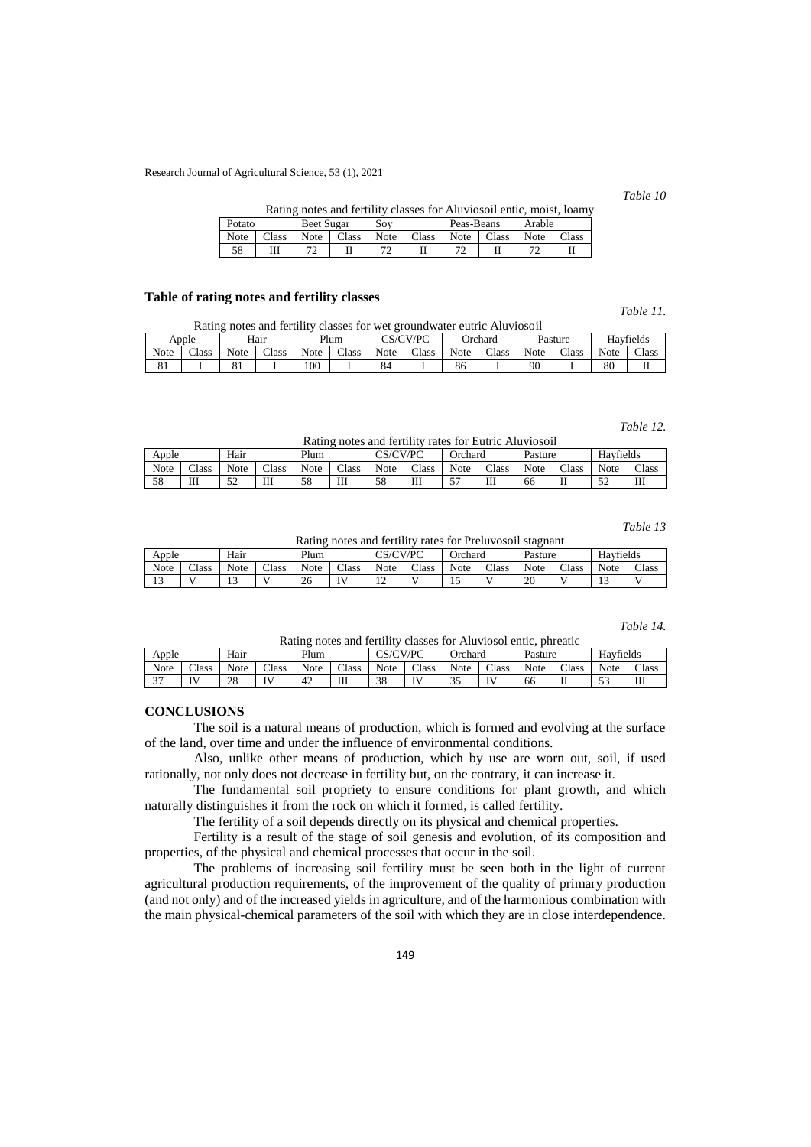#### *Table 10*

|        | Rating notes and fertility classes for Aluviosoil entic, moist, loamy |            |              |             |       |            |       |        |       |  |  |
|--------|-----------------------------------------------------------------------|------------|--------------|-------------|-------|------------|-------|--------|-------|--|--|
| Potato |                                                                       | Beet Sugar |              | Sov         |       | Peas-Beans |       | Arable |       |  |  |
| Note   | <b>Class</b>                                                          |            | Note   Class | <b>Note</b> | Class | Note 1     | Class | Note   | Class |  |  |
| 58     |                                                                       |            |              |             |       |            |       |        |       |  |  |

### **Table of rating notes and fertility classes**

### *Table 11.*

|      | * *** ** * * *<br>Rating notes and fertility classes for wet groundwater eutric Aluviosoil |      |       |      |              |             |              |      |         |             |         |      |           |
|------|--------------------------------------------------------------------------------------------|------|-------|------|--------------|-------------|--------------|------|---------|-------------|---------|------|-----------|
|      | Apple                                                                                      |      | Hair  |      | Plum         |             | CS/CV/PC     |      | Orchard |             | Pasture |      | Havfields |
| Note | Class                                                                                      | Note | Class | Note | <b>Class</b> | <b>Note</b> | <b>Class</b> | Note | Class   | <b>Note</b> | Class   | Note | Class     |
| 81   |                                                                                            |      |       | 00   |              | 84          |              | 86   |         | 90          |         | 80   |           |

#### *Table 12.*

Rating notes and fertility rates for Eutric Aluviosoil

|       | ******** *** <i>***</i> ***** ******** |                 |       |          |       |          |       |                   |       |         |                |                   |       |
|-------|----------------------------------------|-----------------|-------|----------|-------|----------|-------|-------------------|-------|---------|----------------|-------------------|-------|
| Apple |                                        | Hair            |       | Plum     |       | CS/CV/PC |       | Jrchard           |       | Pasture |                | Havfields         |       |
| Note  | Class                                  | Note            | Class | Note     | Class | Note     | Class | Note              | Class | Note    | $\text{Class}$ | Note              | Class |
| 58    | Ш                                      | $\epsilon$<br>◡ | Ш     | 50<br>ാറ | Ш     | 58       | Ш     | $\epsilon$ 7<br>◡ | Ш     | 66      |                | $\epsilon$<br>ے ر | Ш     |

*Table 13*

Rating notes and fertility rates for Preluvosoil stagnant

| Apple                |       | Hair         |       | Plum |       | CS/CV/PC      |       | Orchard |       | Pasture |       | Havfields |       |
|----------------------|-------|--------------|-------|------|-------|---------------|-------|---------|-------|---------|-------|-----------|-------|
| Note                 | Class | <b>Note</b>  | Class | Note | Class | Note          | Class | Note    | Class | Note    | Class | Note      | Class |
| 1 <sub>2</sub><br>15 |       | $\sim$<br>⊥⊃ |       | 26   | TT.   | $\sim$<br>. . |       | …       |       | 20      | . .   | ⊥⊃        |       |

#### *Table 14.*

Rating notes and fertility classes for Aluviosol entic, phreatic

| Apple                |                 | Hair |       | Plum |        | CSVCVPC     |                    | Jrchard      |       | Pasture |       | $\sim$<br>Havfields |       |
|----------------------|-----------------|------|-------|------|--------|-------------|--------------------|--------------|-------|---------|-------|---------------------|-------|
| Note                 | Class           | Note | Class | Note | Class  | <b>Note</b> | Class              | Note         | Class | Note    | Class | Note                | Class |
| $\sim$<br><u>. .</u> | TV <sub>1</sub> | 28   | IV    | 42   | m<br>ш | 38          | $\mathbf{U}$<br>л, | $\sim$<br>້∼ | IV    | 66      | П     | 52<br>ر ر           | Ш     |

### **CONCLUSIONS**

The soil is a natural means of production, which is formed and evolving at the surface of the land, over time and under the influence of environmental conditions.

Also, unlike other means of production, which by use are worn out, soil, if used rationally, not only does not decrease in fertility but, on the contrary, it can increase it.

The fundamental soil propriety to ensure conditions for plant growth, and which naturally distinguishes it from the rock on which it formed, is called fertility.

The fertility of a soil depends directly on its physical and chemical properties.

Fertility is a result of the stage of soil genesis and evolution, of its composition and properties, of the physical and chemical processes that occur in the soil.

The problems of increasing soil fertility must be seen both in the light of current agricultural production requirements, of the improvement of the quality of primary production (and not only) and of the increased yields in agriculture, and of the harmonious combination with the main physical-chemical parameters of the soil with which they are in close interdependence.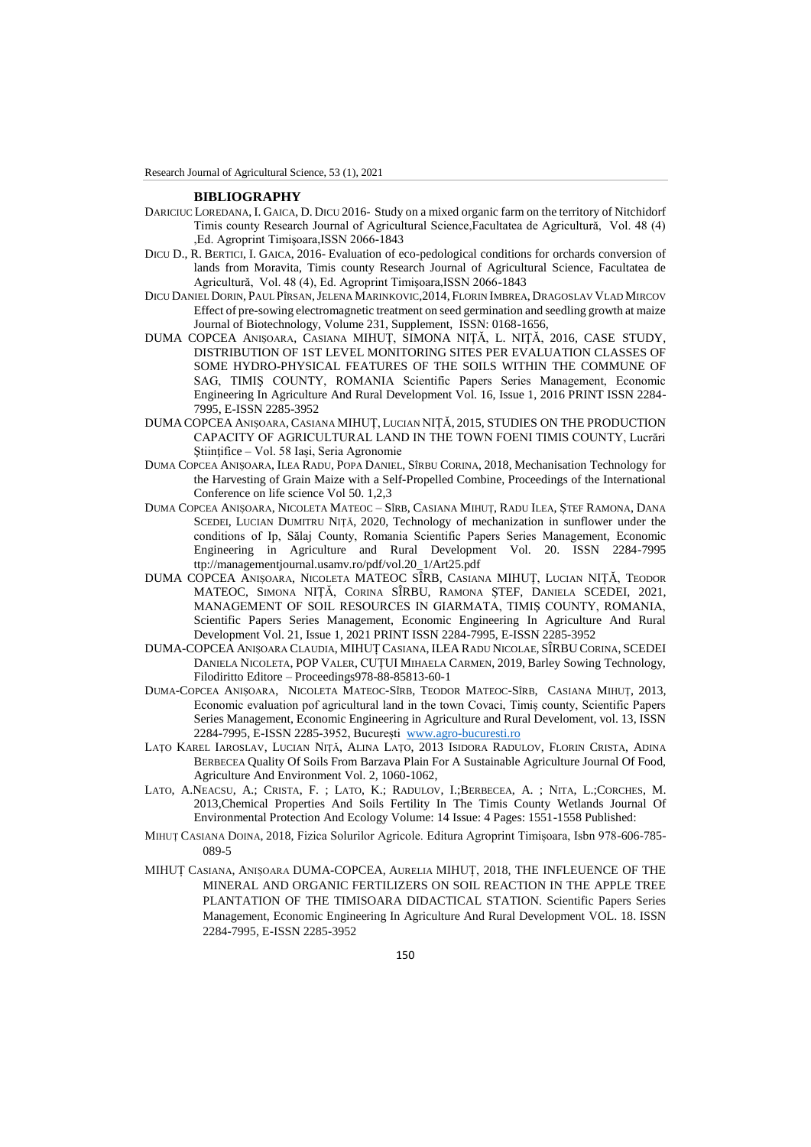Research Journal of Agricultural Science, 53 (1), 2021

#### **BIBLIOGRAPHY**

- DARICIUC LOREDANA, I. GAICA, D. DICU 2016- Study on a mixed organic farm on the territory of Nitchidorf Timis county Research Journal of Agricultural Science,Facultatea de Agricultură, Vol. 48 (4) ,Ed. Agroprint Timişoara,ISSN 2066-1843
- DICU D., R. BERTICI, I. GAICA, 2016- Evaluation of eco-pedological conditions for orchards conversion of lands from Moravita, Timis county Research Journal of Agricultural Science, Facultatea de Agricultură, Vol. 48 (4), Ed. Agroprint Timişoara,ISSN 2066-1843
- DICU DANIEL DORIN, PAUL PÎRSAN,JELENA MARINKOVIC,2014, FLORIN IMBREA, DRAGOSLAV VLAD MIRCOV Effect of pre-sowing electromagnetic treatment on seed germination and seedling growth at maize Journal of Biotechnology, Volume 231, Supplement, ISSN: 0168-1656,
- DUMA COPCEA ANIŞOARA, CASIANA MIHUȚ, SIMONA NIȚĂ, L. NIŢĂ, 2016, CASE STUDY, DISTRIBUTION OF 1ST LEVEL MONITORING SITES PER EVALUATION CLASSES OF SOME HYDRO-PHYSICAL FEATURES OF THE SOILS WITHIN THE COMMUNE OF SAG, TIMIŞ COUNTY, ROMANIA Scientific Papers Series Management, Economic Engineering In Agriculture And Rural Development Vol. 16, Issue 1, 2016 PRINT ISSN 2284- 7995, E-ISSN 2285-3952
- DUMA COPCEA ANIȘOARA, CASIANA MIHUȚ, LUCIAN NIȚĂ, 2015, STUDIES ON THE PRODUCTION CAPACITY OF AGRICULTURAL LAND IN THE TOWN FOENI TIMIS COUNTY, Lucrări Stiințifice – Vol. 58 Iași, Seria Agronomie
- DUMA COPCEA ANIȘOARA, ILEA RADU, POPA DANIEL, SÎRBU CORINA, 2018, Mechanisation Technology for the Harvesting of Grain Maize with a Self-Propelled Combine, Proceedings of the International Conference on life science Vol 50. 1,2,3
- DUMA COPCEA ANIȘOARA, NICOLETA MATEOC SÎRB, CASIANA MIHUȚ, RADU ILEA, ȘTEF RAMONA, DANA SCEDEI, LUCIAN DUMITRU NIȚĂ, 2020, Technology of mechanization in sunflower under the conditions of Ip, Sălaj County, Romania Scientific Papers Series Management, Economic Engineering in Agriculture and Rural Development Vol. 20. ISSN 2284-7995 ttp://managementjournal.usamv.ro/pdf/vol.20\_1/Art25.pdf
- DUMA COPCEA ANIȘOARA, NICOLETA MATEOC SÎRB, CASIANA MIHUȚ, LUCIAN NIȚĂ, TEODOR MATEOC, SIMONA NIȚĂ, CORINA SÎRBU, RAMONA ȘTEF, DANIELA SCEDEI, 2021, MANAGEMENT OF SOIL RESOURCES IN GIARMATA, TIMIŞ COUNTY, ROMANIA, Scientific Papers Series Management, Economic Engineering In Agriculture And Rural Development Vol. 21, Issue 1, 2021 PRINT ISSN 2284-7995, E-ISSN 2285-3952
- DUMA-COPCEA ANIȘOARA CLAUDIA, MIHUȚ CASIANA, ILEA RADU NICOLAE, SÎRBU CORINA, SCEDEI DANIELA NICOLETA, POP VALER, CUȚUI MIHAELA CARMEN, 2019, Barley Sowing Technology, Filodiritto Editore – Proceedings978-88-85813-60-1
- DUMA-COPCEA ANIȘOARA, NICOLETA MATEOC-SÎRB, TEODOR MATEOC-SÎRB, CASIANA MIHUȚ, 2013, Economic evaluation pof agricultural land in the town Covaci, Timiș county, Scientific Papers Series Management, Economic Engineering in Agriculture and Rural Develoment, vol. 13, ISSN 2284-7995, E-ISSN 2285-3952, București [www.agro-bucuresti.ro](http://www.agro-bucuresti.ro/)
- LAŢO KAREL IAROSLAV, LUCIAN NIŢĂ, ALINA LAŢO, 2013 ISIDORA RADULOV, FLORIN CRISTA, ADINA BERBECEA Quality Of Soils From Barzava Plain For A Sustainable Agriculture Journal Of Food, Agriculture And Environment Vol. 2, 1060-1062,
- LATO, A.NEACSU, A.; CRISTA, F. ; LATO, K.; RADULOV, I.;BERBECEA, A. ; NITA, L.;CORCHES, M. 2013,Chemical Properties And Soils Fertility In The Timis County Wetlands Journal Of Environmental Protection And Ecology Volume: 14 Issue: 4 Pages: 1551-1558 Published:
- MIHUȚ CASIANA DOINA, 2018, Fizica Solurilor Agricole. Editura Agroprint Timișoara, Isbn 978-606-785- 089-5
- MIHUȚ CASIANA, ANIȘOARA DUMA-COPCEA, AURELIA MIHUȚ, 2018, THE INFLEUENCE OF THE MINERAL AND ORGANIC FERTILIZERS ON SOIL REACTION IN THE APPLE TREE PLANTATION OF THE TIMISOARA DIDACTICAL STATION. Scientific Papers Series Management, Economic Engineering In Agriculture And Rural Development VOL. 18. ISSN 2284-7995, E-ISSN 2285-3952